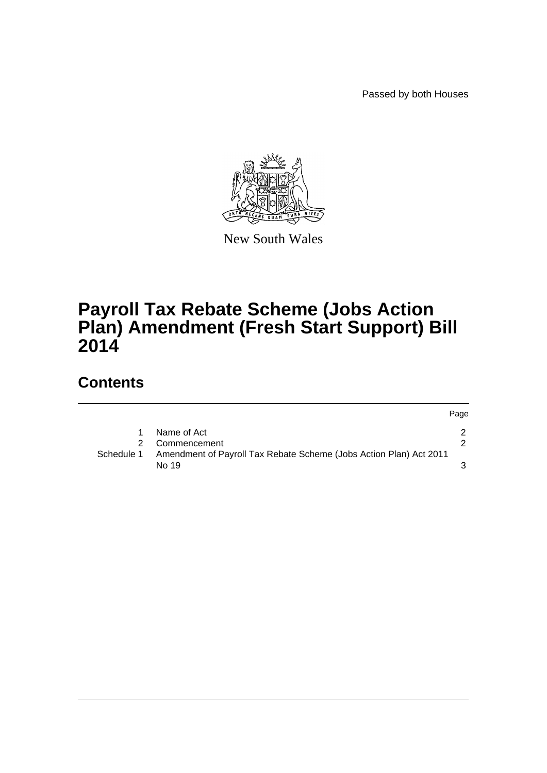Passed by both Houses



New South Wales

# **Payroll Tax Rebate Scheme (Jobs Action Plan) Amendment (Fresh Start Support) Bill 2014**

## **Contents**

|            |                                                                             | Page |
|------------|-----------------------------------------------------------------------------|------|
|            | Name of Act                                                                 |      |
| 2          | Commencement                                                                |      |
| Schedule 1 | Amendment of Payroll Tax Rebate Scheme (Jobs Action Plan) Act 2011<br>No 19 |      |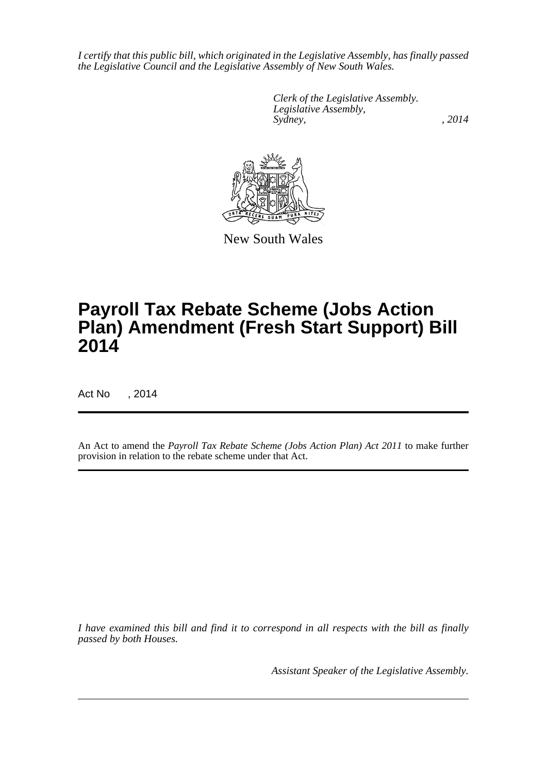*I certify that this public bill, which originated in the Legislative Assembly, has finally passed the Legislative Council and the Legislative Assembly of New South Wales.*

> *Clerk of the Legislative Assembly. Legislative Assembly, Sydney,* , 2014



New South Wales

# **Payroll Tax Rebate Scheme (Jobs Action Plan) Amendment (Fresh Start Support) Bill 2014**

Act No , 2014

An Act to amend the *Payroll Tax Rebate Scheme (Jobs Action Plan) Act 2011* to make further provision in relation to the rebate scheme under that Act.

*I have examined this bill and find it to correspond in all respects with the bill as finally passed by both Houses.*

*Assistant Speaker of the Legislative Assembly.*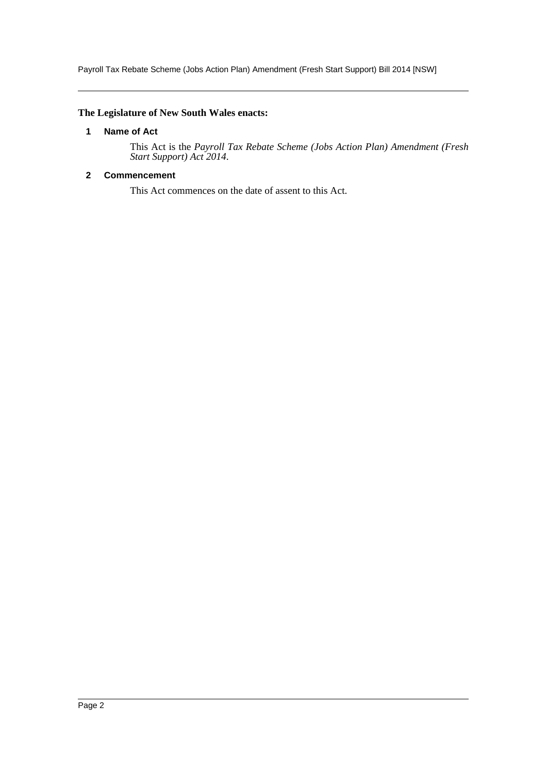Payroll Tax Rebate Scheme (Jobs Action Plan) Amendment (Fresh Start Support) Bill 2014 [NSW]

### <span id="page-2-0"></span>**The Legislature of New South Wales enacts:**

### **1 Name of Act**

This Act is the *Payroll Tax Rebate Scheme (Jobs Action Plan) Amendment (Fresh Start Support) Act 2014*.

## <span id="page-2-1"></span>**2 Commencement**

This Act commences on the date of assent to this Act.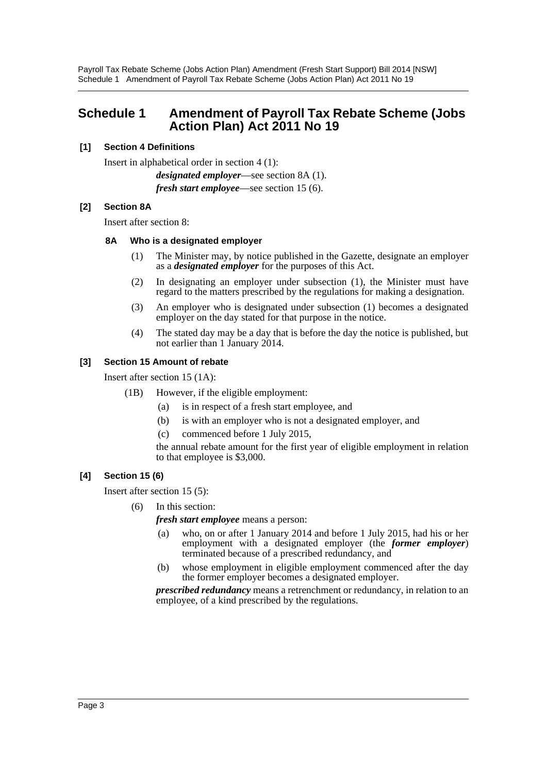Payroll Tax Rebate Scheme (Jobs Action Plan) Amendment (Fresh Start Support) Bill 2014 [NSW] Schedule 1 Amendment of Payroll Tax Rebate Scheme (Jobs Action Plan) Act 2011 No 19

## <span id="page-3-0"></span>**Schedule 1 Amendment of Payroll Tax Rebate Scheme (Jobs Action Plan) Act 2011 No 19**

#### **[1] Section 4 Definitions**

Insert in alphabetical order in section 4 (1):

*designated employer*—see section 8A (1). *fresh start employee*—see section 15 (6).

#### **[2] Section 8A**

Insert after section 8:

#### **8A Who is a designated employer**

- (1) The Minister may, by notice published in the Gazette, designate an employer as a *designated employer* for the purposes of this Act.
- (2) In designating an employer under subsection (1), the Minister must have regard to the matters prescribed by the regulations for making a designation.
- (3) An employer who is designated under subsection (1) becomes a designated employer on the day stated for that purpose in the notice.
- (4) The stated day may be a day that is before the day the notice is published, but not earlier than 1 January 2014.

#### **[3] Section 15 Amount of rebate**

Insert after section 15 (1A):

- (1B) However, if the eligible employment:
	- (a) is in respect of a fresh start employee, and
	- (b) is with an employer who is not a designated employer, and
	- (c) commenced before 1 July 2015,

the annual rebate amount for the first year of eligible employment in relation to that employee is \$3,000.

#### **[4] Section 15 (6)**

Insert after section 15 (5):

(6) In this section:

*fresh start employee* means a person:

- (a) who, on or after 1 January 2014 and before 1 July 2015, had his or her employment with a designated employer (the *former employer*) terminated because of a prescribed redundancy, and
- (b) whose employment in eligible employment commenced after the day the former employer becomes a designated employer.

*prescribed redundancy* means a retrenchment or redundancy, in relation to an employee, of a kind prescribed by the regulations.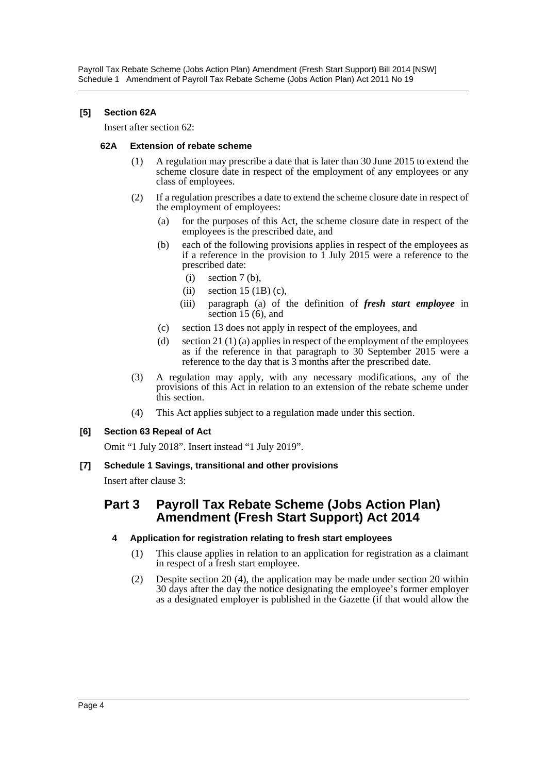### **[5] Section 62A**

Insert after section 62:

#### **62A Extension of rebate scheme**

- (1) A regulation may prescribe a date that is later than 30 June 2015 to extend the scheme closure date in respect of the employment of any employees or any class of employees.
- (2) If a regulation prescribes a date to extend the scheme closure date in respect of the employment of employees:
	- (a) for the purposes of this Act, the scheme closure date in respect of the employees is the prescribed date, and
	- (b) each of the following provisions applies in respect of the employees as if a reference in the provision to  $\hat{1}$  July 2015 were a reference to the prescribed date:
		- $(i)$  section 7 (b),
		- (ii) section  $15 \text{ (1B) (c)}$ ,
		- (iii) paragraph (a) of the definition of *fresh start employee* in section 15 (6), and
	- (c) section 13 does not apply in respect of the employees, and
	- (d) section 21 (1) (a) applies in respect of the employment of the employees as if the reference in that paragraph to 30 September 2015 were a reference to the day that is 3 months after the prescribed date.
- (3) A regulation may apply, with any necessary modifications, any of the provisions of this Act in relation to an extension of the rebate scheme under this section.
- (4) This Act applies subject to a regulation made under this section.

## **[6] Section 63 Repeal of Act**

Omit "1 July 2018". Insert instead "1 July 2019".

## **[7] Schedule 1 Savings, transitional and other provisions**

Insert after clause 3:

## **Part 3 Payroll Tax Rebate Scheme (Jobs Action Plan) Amendment (Fresh Start Support) Act 2014**

## **4 Application for registration relating to fresh start employees**

- (1) This clause applies in relation to an application for registration as a claimant in respect of a fresh start employee.
- (2) Despite section 20 (4), the application may be made under section 20 within 30 days after the day the notice designating the employee's former employer as a designated employer is published in the Gazette (if that would allow the